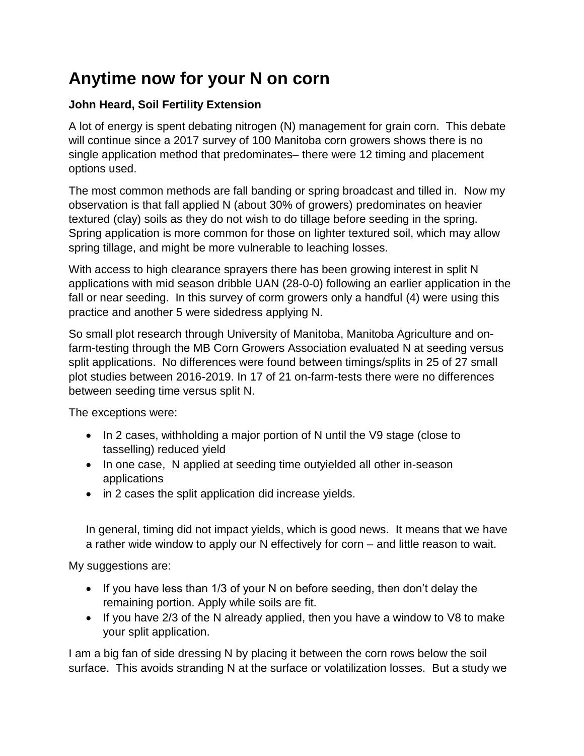## **Anytime now for your N on corn**

## **John Heard, Soil Fertility Extension**

A lot of energy is spent debating nitrogen (N) management for grain corn. This debate will continue since a 2017 survey of 100 Manitoba corn growers shows there is no single application method that predominates– there were 12 timing and placement options used.

The most common methods are fall banding or spring broadcast and tilled in. Now my observation is that fall applied N (about 30% of growers) predominates on heavier textured (clay) soils as they do not wish to do tillage before seeding in the spring. Spring application is more common for those on lighter textured soil, which may allow spring tillage, and might be more vulnerable to leaching losses.

With access to high clearance sprayers there has been growing interest in split N applications with mid season dribble UAN (28-0-0) following an earlier application in the fall or near seeding. In this survey of corm growers only a handful (4) were using this practice and another 5 were sidedress applying N.

So small plot research through University of Manitoba, Manitoba Agriculture and onfarm-testing through the MB Corn Growers Association evaluated N at seeding versus split applications. No differences were found between timings/splits in 25 of 27 small plot studies between 2016-2019. In 17 of 21 on-farm-tests there were no differences between seeding time versus split N.

The exceptions were:

- In 2 cases, withholding a major portion of N until the V9 stage (close to tasselling) reduced yield
- In one case, N applied at seeding time outyielded all other in-season applications
- in 2 cases the split application did increase yields.

In general, timing did not impact yields, which is good news. It means that we have a rather wide window to apply our N effectively for corn – and little reason to wait.

My suggestions are:

- If you have less than  $1/3$  of your N on before seeding, then don't delay the remaining portion. Apply while soils are fit.
- If you have 2/3 of the N already applied, then you have a window to V8 to make your split application.

I am a big fan of side dressing N by placing it between the corn rows below the soil surface. This avoids stranding N at the surface or volatilization losses. But a study we